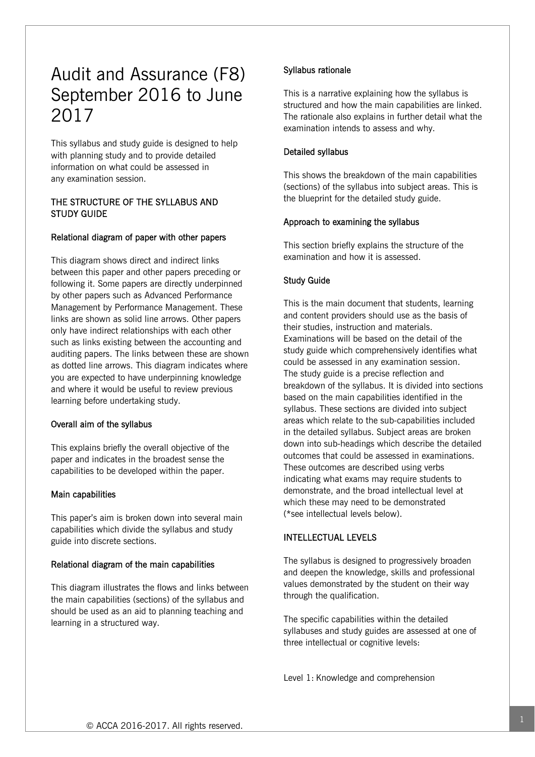## Audit and Assurance (F8) September 2016 to June 2017

This syllabus and study guide is designed to help with planning study and to provide detailed information on what could be assessed in any examination session.

## THE STRUCTURE OF THE SYLLABUS AND STUDY GUIDE

## Relational diagram of paper with other papers

This diagram shows direct and indirect links between this paper and other papers preceding or following it. Some papers are directly underpinned by other papers such as Advanced Performance Management by Performance Management. These links are shown as solid line arrows. Other papers only have indirect relationships with each other such as links existing between the accounting and auditing papers. The links between these are shown as dotted line arrows. This diagram indicates where you are expected to have underpinning knowledge and where it would be useful to review previous learning before undertaking study.

#### Overall aim of the syllabus

This explains briefly the overall objective of the paper and indicates in the broadest sense the capabilities to be developed within the paper.

#### Main capabilities

This paper's aim is broken down into several main capabilities which divide the syllabus and study guide into discrete sections.

#### Relational diagram of the main capabilities

This diagram illustrates the flows and links between the main capabilities (sections) of the syllabus and should be used as an aid to planning teaching and learning in a structured way.

## Syllabus rationale

This is a narrative explaining how the syllabus is structured and how the main capabilities are linked. The rationale also explains in further detail what the examination intends to assess and why.

## Detailed syllabus

This shows the breakdown of the main capabilities (sections) of the syllabus into subject areas. This is the blueprint for the detailed study guide.

## Approach to examining the syllabus

This section briefly explains the structure of the examination and how it is assessed.

## Study Guide

This is the main document that students, learning and content providers should use as the basis of their studies, instruction and materials. Examinations will be based on the detail of the study guide which comprehensively identifies what could be assessed in any examination session. The study guide is a precise reflection and breakdown of the syllabus. It is divided into sections based on the main capabilities identified in the syllabus. These sections are divided into subject areas which relate to the sub-capabilities included in the detailed syllabus. Subject areas are broken down into sub-headings which describe the detailed outcomes that could be assessed in examinations. These outcomes are described using verbs indicating what exams may require students to demonstrate, and the broad intellectual level at which these may need to be demonstrated (\*see intellectual levels below).

## INTELLECTUAL LEVELS

The syllabus is designed to progressively broaden and deepen the knowledge, skills and professional values demonstrated by the student on their way through the qualification.

The specific capabilities within the detailed syllabuses and study guides are assessed at one of three intellectual or cognitive levels:

Level 1: Knowledge and comprehension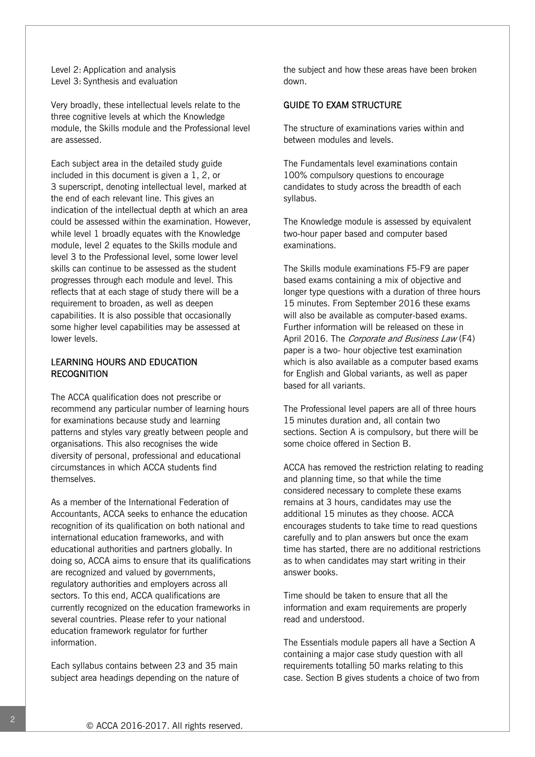Level 2: Application and analysis Level 3: Synthesis and evaluation

Very broadly, these intellectual levels relate to the three cognitive levels at which the Knowledge module, the Skills module and the Professional level are assessed.

Each subject area in the detailed study guide included in this document is given a 1, 2, or 3 superscript, denoting intellectual level, marked at the end of each relevant line. This gives an indication of the intellectual depth at which an area could be assessed within the examination. However, while level 1 broadly equates with the Knowledge module, level 2 equates to the Skills module and level 3 to the Professional level, some lower level skills can continue to be assessed as the student progresses through each module and level. This reflects that at each stage of study there will be a requirement to broaden, as well as deepen capabilities. It is also possible that occasionally some higher level capabilities may be assessed at lower levels.

## LEARNING HOURS AND EDUCATION **RECOGNITION**

The ACCA qualification does not prescribe or recommend any particular number of learning hours for examinations because study and learning patterns and styles vary greatly between people and organisations. This also recognises the wide diversity of personal, professional and educational circumstances in which ACCA students find themselves.

As a member of the International Federation of Accountants, ACCA seeks to enhance the education recognition of its qualification on both national and international education frameworks, and with educational authorities and partners globally. In doing so, ACCA aims to ensure that its qualifications are recognized and valued by governments, regulatory authorities and employers across all sectors. To this end, ACCA qualifications are currently recognized on the education frameworks in several countries. Please refer to your national education framework regulator for further information.

Each syllabus contains between 23 and 35 main subject area headings depending on the nature of the subject and how these areas have been broken down.

## GUIDE TO EXAM STRUCTURE

The structure of examinations varies within and between modules and levels.

The Fundamentals level examinations contain 100% compulsory questions to encourage candidates to study across the breadth of each syllabus.

The Knowledge module is assessed by equivalent two-hour paper based and computer based examinations.

The Skills module examinations F5-F9 are paper based exams containing a mix of objective and longer type questions with a duration of three hours 15 minutes. From September 2016 these exams will also be available as computer-based exams. Further information will be released on these in April 2016. The Corporate and Business Law (F4) paper is a two- hour objective test examination which is also available as a computer based exams for English and Global variants, as well as paper based for all variants.

The Professional level papers are all of three hours 15 minutes duration and, all contain two sections. Section A is compulsory, but there will be some choice offered in Section B.

ACCA has removed the restriction relating to reading and planning time, so that while the time considered necessary to complete these exams remains at 3 hours, candidates may use the additional 15 minutes as they choose. ACCA encourages students to take time to read questions carefully and to plan answers but once the exam time has started, there are no additional restrictions as to when candidates may start writing in their answer books.

Time should be taken to ensure that all the information and exam requirements are properly read and understood.

The Essentials module papers all have a Section A containing a major case study question with all requirements totalling 50 marks relating to this case. Section B gives students a choice of two from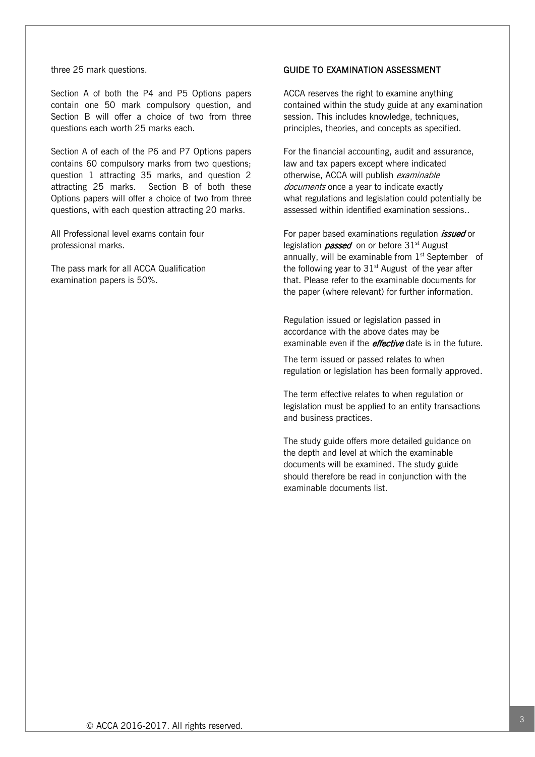three 25 mark questions.

Section A of both the P4 and P5 Options papers contain one 50 mark compulsory question, and Section B will offer a choice of two from three questions each worth 25 marks each.

Section A of each of the P6 and P7 Options papers contains 60 compulsory marks from two questions; question 1 attracting 35 marks, and question 2 attracting 25 marks. Section B of both these Options papers will offer a choice of two from three questions, with each question attracting 20 marks.

All Professional level exams contain four professional marks.

The pass mark for all ACCA Qualification examination papers is 50%.

#### GUIDE TO EXAMINATION ASSESSMENT

ACCA reserves the right to examine anything contained within the study guide at any examination session. This includes knowledge, techniques, principles, theories, and concepts as specified.

For the financial accounting, audit and assurance, law and tax papers except where indicated otherwise, ACCA will publish examinable documents once a year to indicate exactly what regulations and legislation could potentially be assessed within identified examination sessions..

For paper based examinations regulation *issued* or legislation *passed* on or before  $31<sup>st</sup>$  August annually, will be examinable from  $1<sup>st</sup>$  September of the following year to  $31<sup>st</sup>$  August of the year after that. Please refer to the examinable documents for the paper (where relevant) for further information.

Regulation issued or legislation passed in accordance with the above dates may be examinable even if the *effective* date is in the future.

The term issued or passed relates to when regulation or legislation has been formally approved.

The term effective relates to when regulation or legislation must be applied to an entity transactions and business practices.

The study guide offers more detailed guidance on the depth and level at which the examinable documents will be examined. The study guide should therefore be read in conjunction with the examinable documents list.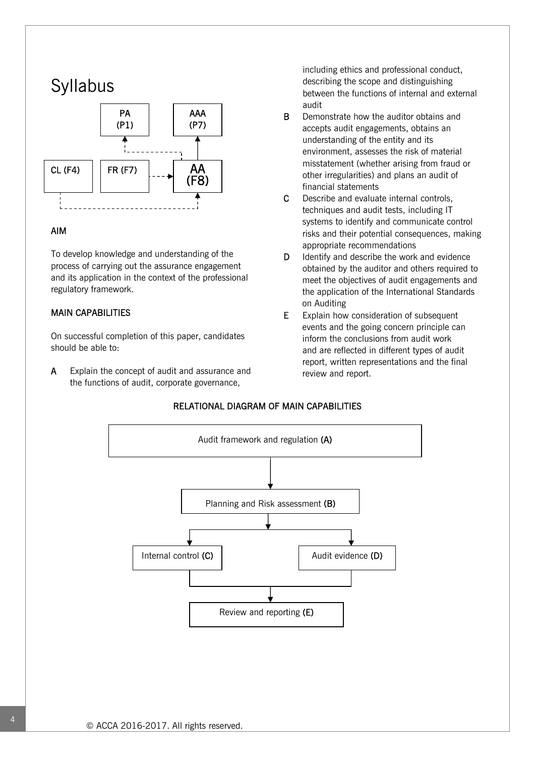## Syllabus



## AIM

To develop knowledge and understanding of the process of carrying out the assurance engagement and its application in the context of the professional regulatory framework.

## MAIN CAPABILITIES

On successful completion of this paper, candidates should be able to:

A Explain the concept of audit and assurance and the functions of audit, corporate governance,

including ethics and professional conduct, describing the scope and distinguishing between the functions of internal and external audit

- **B** Demonstrate how the auditor obtains and accepts audit engagements, obtains an understanding of the entity and its environment, assesses the risk of material misstatement (whether arising from fraud or other irregularities) and plans an audit of financial statements
- C Describe and evaluate internal controls, techniques and audit tests, including IT systems to identify and communicate control risks and their potential consequences, making appropriate recommendations
- D Identify and describe the work and evidence obtained by the auditor and others required to meet the objectives of audit engagements and the application of the International Standards on Auditing
- E Explain how consideration of subsequent events and the going concern principle can inform the conclusions from audit work and are reflected in different types of audit report, written representations and the final review and report.



## RELATIONAL DIAGRAM OF MAIN CAPABILITIES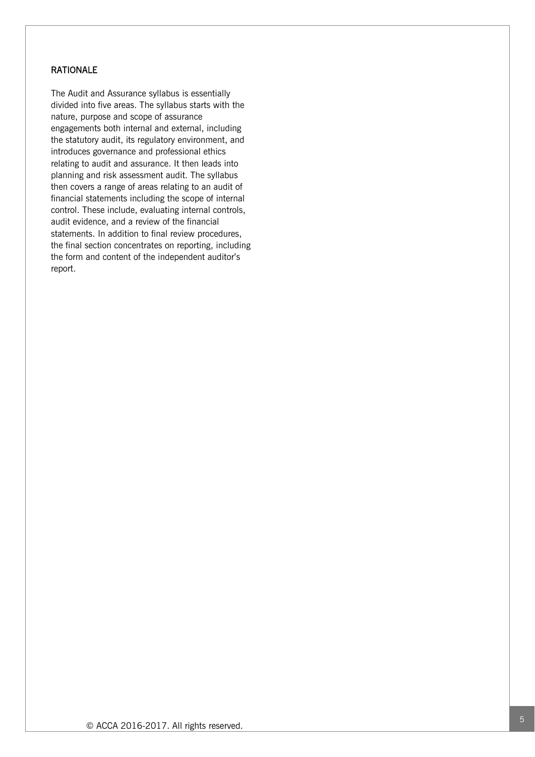## RATIONALE

The Audit and Assurance syllabus is essentially divided into five areas. The syllabus starts with the nature, purpose and scope of assurance engagements both internal and external, including the statutory audit, its regulatory environment, and introduces governance and professional ethics relating to audit and assurance. It then leads into planning and risk assessment audit. The syllabus then covers a range of areas relating to an audit of financial statements including the scope of internal control. These include, evaluating internal controls, audit evidence, and a review of the financial statements. In addition to final review procedures, the final section concentrates on reporting, including the form and content of the independent auditor's report.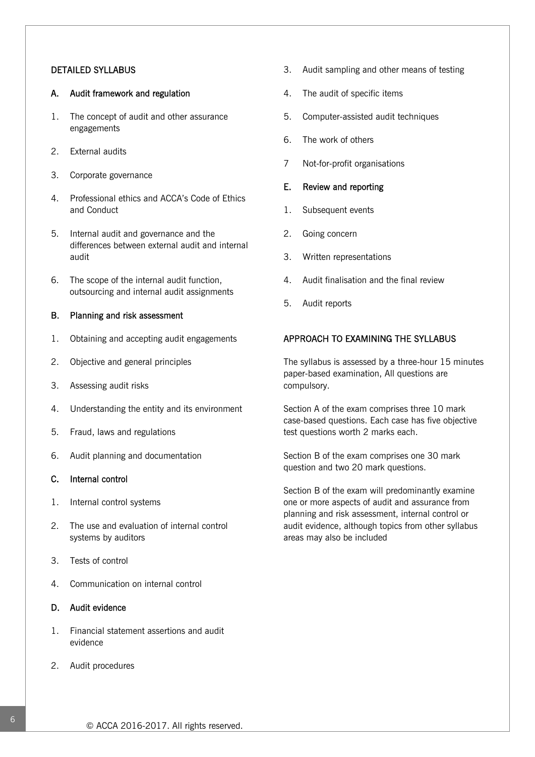#### DETAILED SYLLABUS

#### A. Audit framework and regulation

- 1. The concept of audit and other assurance engagements
- 2. External audits
- 3. Corporate governance
- 4. Professional ethics and ACCA's Code of Ethics and Conduct
- 5. Internal audit and governance and the differences between external audit and internal audit
- 6. The scope of the internal audit function, outsourcing and internal audit assignments

#### B. Planning and risk assessment

- 1. Obtaining and accepting audit engagements
- 2. Objective and general principles
- 3. Assessing audit risks
- 4. Understanding the entity and its environment
- 5. Fraud, laws and regulations
- 6. Audit planning and documentation

#### C. Internal control

- 1. Internal control systems
- 2. The use and evaluation of internal control systems by auditors
- 3. Tests of control
- 4. Communication on internal control

#### D. Audit evidence

- 1. Financial statement assertions and audit evidence
- 2. Audit procedures
- 3. Audit sampling and other means of testing
- 4. The audit of specific items
- 5. Computer-assisted audit techniques
- 6. The work of others
- 7 Not-for-profit organisations

#### E. Review and reporting

- 1. Subsequent events
- 2. Going concern
- 3. Written representations
- 4. Audit finalisation and the final review
- 5. Audit reports

## APPROACH TO EXAMINING THE SYLLABUS

The syllabus is assessed by a three-hour 15 minutes paper-based examination, All questions are compulsory.

Section A of the exam comprises three 10 mark case-based questions. Each case has five objective test questions worth 2 marks each.

Section B of the exam comprises one 30 mark question and two 20 mark questions.

Section B of the exam will predominantly examine one or more aspects of audit and assurance from planning and risk assessment, internal control or audit evidence, although topics from other syllabus areas may also be included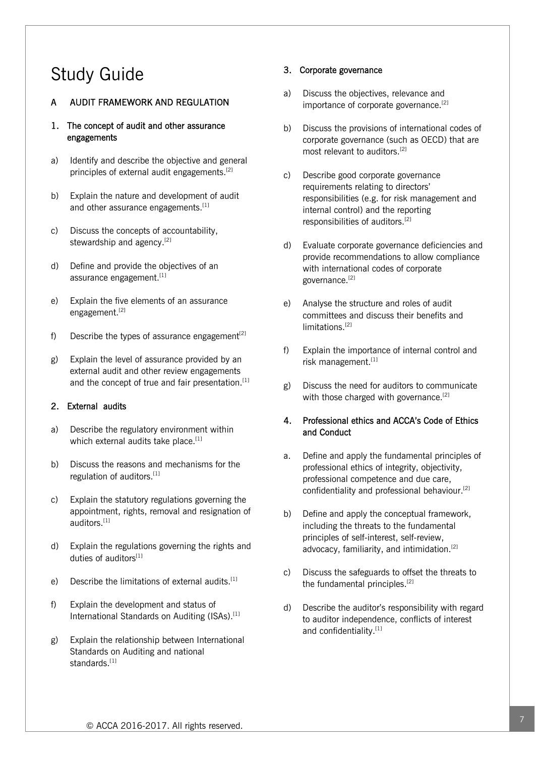# Study Guide

## A AUDIT FRAMEWORK AND REGULATION

- 1. The concept of audit and other assurance engagements
- a) Identify and describe the objective and general principles of external audit engagements.<sup>[2]</sup>
- b) Explain the nature and development of audit and other assurance engagements.<sup>[1]</sup>
- c) Discuss the concepts of accountability, stewardship and agency.<sup>[2]</sup>
- d) Define and provide the objectives of an assurance engagement.<sup>[1]</sup>
- e) Explain the five elements of an assurance engagement.<sup>[2]</sup>
- f) Describe the types of assurance engagement<sup>[2]</sup>
- g) Explain the level of assurance provided by an external audit and other review engagements and the concept of true and fair presentation.<sup>[1]</sup>

## 2. External audits

- a) Describe the regulatory environment within which external audits take place.<sup>[1]</sup>
- b) Discuss the reasons and mechanisms for the regulation of auditors.<sup>[1]</sup>
- c) Explain the statutory regulations governing the appointment, rights, removal and resignation of auditors.<sup>[1]</sup>
- d) Explain the regulations governing the rights and duties of auditors $[1]$
- e) Describe the limitations of external audits.<sup>[1]</sup>
- f) Explain the development and status of International Standards on Auditing (ISAs).<sup>[1]</sup>
- g) Explain the relationship between International Standards on Auditing and national standards.<sup>[1]</sup>

### 3. Corporate governance

- a) Discuss the objectives, relevance and importance of corporate governance.<sup>[2]</sup>
- b) Discuss the provisions of international codes of corporate governance (such as OECD) that are most relevant to auditors.[2]
- c) Describe good corporate governance requirements relating to directors' responsibilities (e.g. for risk management and internal control) and the reporting responsibilities of auditors.[2]
- d) Evaluate corporate governance deficiencies and provide recommendations to allow compliance with international codes of corporate governance.[2]
- e) Analyse the structure and roles of audit committees and discuss their benefits and limitations.<sup>[2]</sup>
- f) Explain the importance of internal control and risk management.<sup>[1]</sup>
- g) Discuss the need for auditors to communicate with those charged with governance.<sup>[2]</sup>
- 4. Professional ethics and ACCA's Code of Ethics and Conduct
- a. Define and apply the fundamental principles of professional ethics of integrity, objectivity, professional competence and due care, confidentiality and professional behaviour.[2]
- b) Define and apply the conceptual framework, including the threats to the fundamental principles of self-interest, self-review, advocacy, familiarity, and intimidation.<sup>[2]</sup>
- c) Discuss the safeguards to offset the threats to the fundamental principles.<sup>[2]</sup>
- d) Describe the auditor's responsibility with regard to auditor independence, conflicts of interest and confidentiality.<sup>[1]</sup>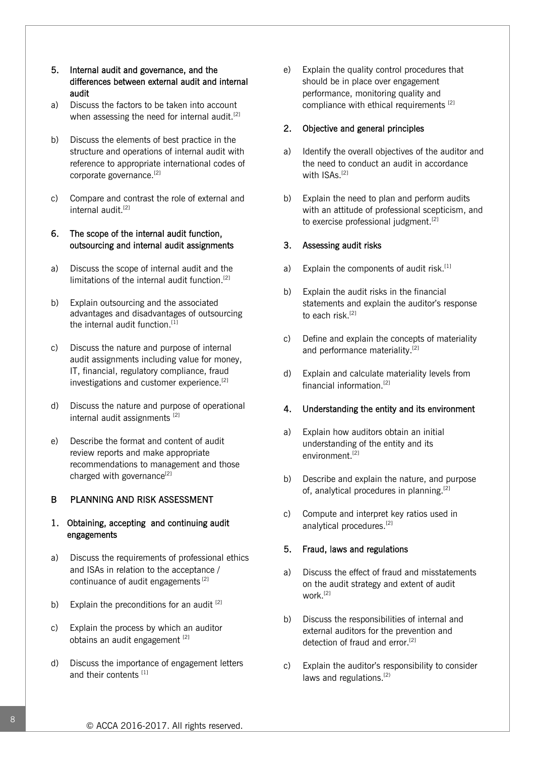- a) Discuss the factors to be taken into account when assessing the need for internal audit.<sup>[2]</sup>
- b) Discuss the elements of best practice in the structure and operations of internal audit with reference to appropriate international codes of corporate governance.<sup>[2]</sup>
- c) Compare and contrast the role of external and internal audit.<sup>[2]</sup>

### 6. The scope of the internal audit function, outsourcing and internal audit assignments

- a) Discuss the scope of internal audit and the limitations of the internal audit function.<sup>[2]</sup>
- b) Explain outsourcing and the associated advantages and disadvantages of outsourcing the internal audit function.<sup>[1]</sup>
- c) Discuss the nature and purpose of internal audit assignments including value for money, IT, financial, regulatory compliance, fraud investigations and customer experience.<sup>[2]</sup>
- d) Discuss the nature and purpose of operational internal audit assignments<sup>[2]</sup>
- e) Describe the format and content of audit review reports and make appropriate recommendations to management and those charged with governance<sup>[2]</sup>

## B PLANNING AND RISK ASSESSMENT

#### 1. Obtaining, accepting and continuing audit engagements

- a) Discuss the requirements of professional ethics and ISAs in relation to the acceptance / continuance of audit engagements [2]
- b) Explain the preconditions for an audit  $[2]$
- c) Explain the process by which an auditor obtains an audit engagement [2]
- d) Discuss the importance of engagement letters and their contents<sup>[1]</sup>

e) Explain the quality control procedures that should be in place over engagement performance, monitoring quality and compliance with ethical requirements<sup>[2]</sup>

#### 2. Objective and general principles

- a) Identify the overall objectives of the auditor and the need to conduct an audit in accordance with ISAs<sup>[2]</sup>
- b) Explain the need to plan and perform audits with an attitude of professional scepticism, and to exercise professional judgment.<sup>[2]</sup>

#### 3. Assessing audit risks

- a) Explain the components of audit risk. $[1]$
- b) Explain the audit risks in the financial statements and explain the auditor's response to each risk.<sup>[2]</sup>
- c) Define and explain the concepts of materiality and performance materiality.<sup>[2]</sup>
- d) Explain and calculate materiality levels from financial information.[2]

#### 4. Understanding the entity and its environment

- a) Explain how auditors obtain an initial understanding of the entity and its environment.<sup>[2]</sup>
- b) Describe and explain the nature, and purpose of, analytical procedures in planning.<sup>[2]</sup>
- c) Compute and interpret key ratios used in analytical procedures.<sup>[2]</sup>

#### 5. Fraud, laws and regulations

- a) Discuss the effect of fraud and misstatements on the audit strategy and extent of audit work.[2]
- b) Discuss the responsibilities of internal and external auditors for the prevention and detection of fraud and error.<sup>[2]</sup>
- c) Explain the auditor's responsibility to consider laws and regulations.<sup>[2)</sup>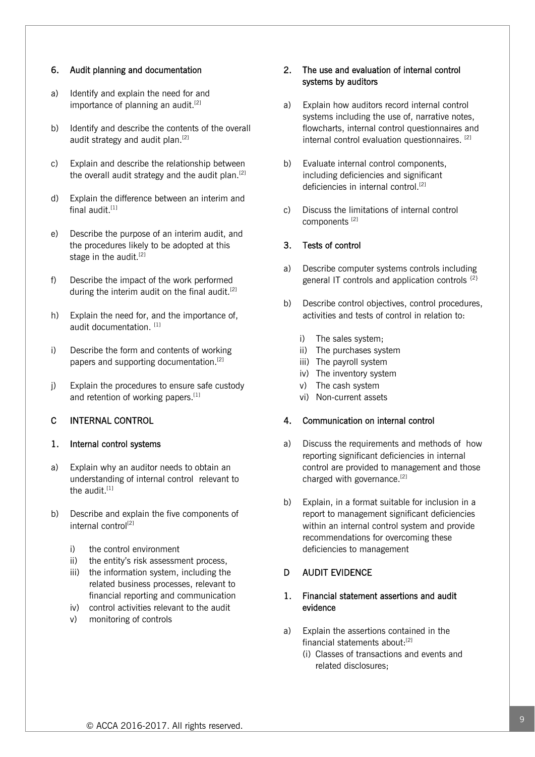#### 6. Audit planning and documentation

- a) Identify and explain the need for and importance of planning an audit. $[2]$
- b) Identify and describe the contents of the overall audit strategy and audit plan.<sup>[2]</sup>
- c) Explain and describe the relationship between the overall audit strategy and the audit plan.<sup>[2]</sup>
- d) Explain the difference between an interim and final audit. $[1]$
- e) Describe the purpose of an interim audit, and the procedures likely to be adopted at this stage in the audit.<sup>[2]</sup>
- f) Describe the impact of the work performed during the interim audit on the final audit.<sup>[2]</sup>
- h) Explain the need for, and the importance of, audit documentation.<sup>[1]</sup>
- i) Describe the form and contents of working papers and supporting documentation.<sup>[2]</sup>
- j) Explain the procedures to ensure safe custody and retention of working papers.<sup>[1]</sup>

#### C INTERNAL CONTROL

#### 1. Internal control systems

- a) Explain why an auditor needs to obtain an understanding of internal control relevant to the audit. $[1]$
- b) Describe and explain the five components of internal control<sup>[2]</sup>
	- i) the control environment
	- ii) the entity's risk assessment process,
	- iii) the information system, including the related business processes, relevant to financial reporting and communication
	- iv) control activities relevant to the audit
	- v) monitoring of controls

### 2. The use and evaluation of internal control systems by auditors

- a) Explain how auditors record internal control systems including the use of, narrative notes, flowcharts, internal control questionnaires and internal control evaluation questionnaires.<sup>[2]</sup>
- b) Evaluate internal control components, including deficiencies and significant deficiencies in internal control.<sup>[2]</sup>
- c) Discuss the limitations of internal control components<sup>[2]</sup>

#### 3. Tests of control

- a) Describe computer systems controls including general IT controls and application controls  $\{2\}$
- b) Describe control objectives, control procedures, activities and tests of control in relation to:
	- i) The sales system;
	- ii) The purchases system
	- iii) The payroll system
	- iv) The inventory system
	- v) The cash system
	- vi) Non-current assets

#### 4. Communication on internal control

- a) Discuss the requirements and methods of how reporting significant deficiencies in internal control are provided to management and those charged with governance.<sup>[2]</sup>
- b) Explain, in a format suitable for inclusion in a report to management significant deficiencies within an internal control system and provide recommendations for overcoming these deficiencies to management

## D AUDIT EVIDENCE

## 1. Financial statement assertions and audit evidence

- a) Explain the assertions contained in the financial statements about:<sup>[2]</sup>
	- (i) Classes of transactions and events and related disclosures;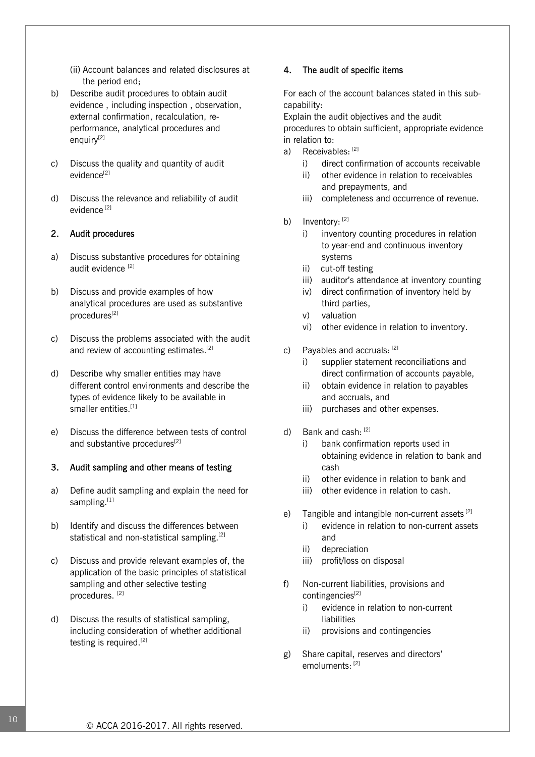- (ii) Account balances and related disclosures at the period end;
- b) Describe audit procedures to obtain audit evidence , including inspection , observation, external confirmation, recalculation, reperformance, analytical procedures and enquir $v^{[2]}$
- c) Discuss the quality and quantity of audit evidence<sup>[2]</sup>
- d) Discuss the relevance and reliability of audit evidence<sup>[2]</sup>

#### 2. Audit procedures

- a) Discuss substantive procedures for obtaining audit evidence<sup>[2]</sup>
- b) Discuss and provide examples of how analytical procedures are used as substantive procedures<sup>[2]</sup>
- c) Discuss the problems associated with the audit and review of accounting estimates.<sup>[2]</sup>
- d) Describe why smaller entities may have different control environments and describe the types of evidence likely to be available in smaller entities.<sup>[1]</sup>
- e) Discuss the difference between tests of control and substantive procedures<sup>[2]</sup>

#### 3. Audit sampling and other means of testing

- a) Define audit sampling and explain the need for sampling.<sup>[1]</sup>
- b) Identify and discuss the differences between statistical and non-statistical sampling.<sup>[2]</sup>
- c) Discuss and provide relevant examples of, the application of the basic principles of statistical sampling and other selective testing procedures.<sup>[2]</sup>
- d) Discuss the results of statistical sampling, including consideration of whether additional testing is required.<sup>[2]</sup>

## 4. The audit of specific items

For each of the account balances stated in this subcapability:

Explain the audit objectives and the audit procedures to obtain sufficient, appropriate evidence in relation to:

- a) Receivables: [2]
	- i) direct confirmation of accounts receivable
	- ii) other evidence in relation to receivables and prepayments, and
	- iii) completeness and occurrence of revenue.
- b) Inventory: [2]
	- i) inventory counting procedures in relation to year-end and continuous inventory systems
	- ii) cut-off testing
	- iii) auditor's attendance at inventory counting
	- iv) direct confirmation of inventory held by third parties,
	- v) valuation
	- vi) other evidence in relation to inventory.
- c) Payables and accruals: [2]
	- i) supplier statement reconciliations and direct confirmation of accounts payable,
	- ii) obtain evidence in relation to payables and accruals, and
	- iii) purchases and other expenses.
- d) Bank and cash:  $[2]$ 
	- i) bank confirmation reports used in obtaining evidence in relation to bank and cash
	- ii) other evidence in relation to bank and
	- iii) other evidence in relation to cash.
- e) Tangible and intangible non-current assets  $^{[2]}$ 
	- i) evidence in relation to non-current assets and
	- ii) depreciation
	- iii) profit/loss on disposal
- f) Non-current liabilities, provisions and contingencies<sup>[2]</sup>
	- i) evidence in relation to non-current liabilities
	- ii) provisions and contingencies
- g) Share capital, reserves and directors' emoluments: [2]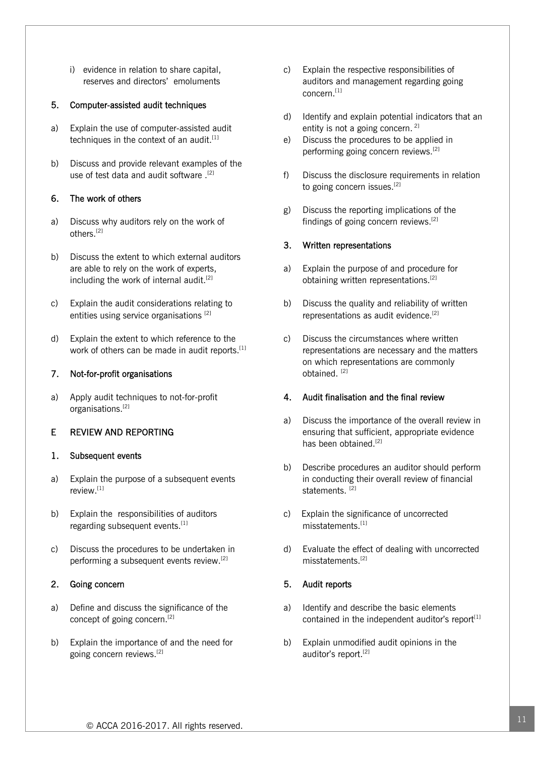i) evidence in relation to share capital, reserves and directors' emoluments

## 5. Computer-assisted audit techniques

- a) Explain the use of computer-assisted audit techniques in the context of an audit.<sup>[1]</sup>
- b) Discuss and provide relevant examples of the use of test data and audit software.<sup>[2]</sup>

## 6. The work of others

- a) Discuss why auditors rely on the work of others.[2]
- b) Discuss the extent to which external auditors are able to rely on the work of experts, including the work of internal audit. $[2]$
- c) Explain the audit considerations relating to entities using service organisations [2]
- d) Explain the extent to which reference to the work of others can be made in audit reports.<sup>[1]</sup>

### 7. Not-for-profit organisations

a) Apply audit techniques to not-for-profit organisations.[2]

## E REVIEW AND REPORTING

#### 1. Subsequent events

- a) Explain the purpose of a subsequent events review.[1]
- b) Explain the responsibilities of auditors regarding subsequent events.<sup>[1]</sup>
- c) Discuss the procedures to be undertaken in performing a subsequent events review.<sup>[2]</sup>

#### 2. Going concern

- a) Define and discuss the significance of the concept of going concern.[2]
- b) Explain the importance of and the need for going concern reviews.[2]
- c) Explain the respective responsibilities of auditors and management regarding going concern.<sup>[1]</sup>
- d) Identify and explain potential indicators that an entity is not a going concern.  $21$
- e) Discuss the procedures to be applied in performing going concern reviews.<sup>[2]</sup>
- f) Discuss the disclosure requirements in relation to going concern issues.<sup>[2]</sup>
- g) Discuss the reporting implications of the findings of going concern reviews.<sup>[2]</sup>

## 3. Written representations

- a) Explain the purpose of and procedure for obtaining written representations.<sup>[2]</sup>
- b) Discuss the quality and reliability of written representations as audit evidence.<sup>[2]</sup>
- c) Discuss the circumstances where written representations are necessary and the matters on which representations are commonly obtained.<sup>[2]</sup>

#### 4. Audit finalisation and the final review

- a) Discuss the importance of the overall review in ensuring that sufficient, appropriate evidence has been obtained.<sup>[2]</sup>
- b) Describe procedures an auditor should perform in conducting their overall review of financial statements.<sup>[2]</sup>
- c) Explain the significance of uncorrected misstatements.[1]
- d) Evaluate the effect of dealing with uncorrected misstatements.[2]

#### 5. Audit reports

- a) Identify and describe the basic elements contained in the independent auditor's report $[1]$
- b) Explain unmodified audit opinions in the auditor's report.<sup>[2]</sup>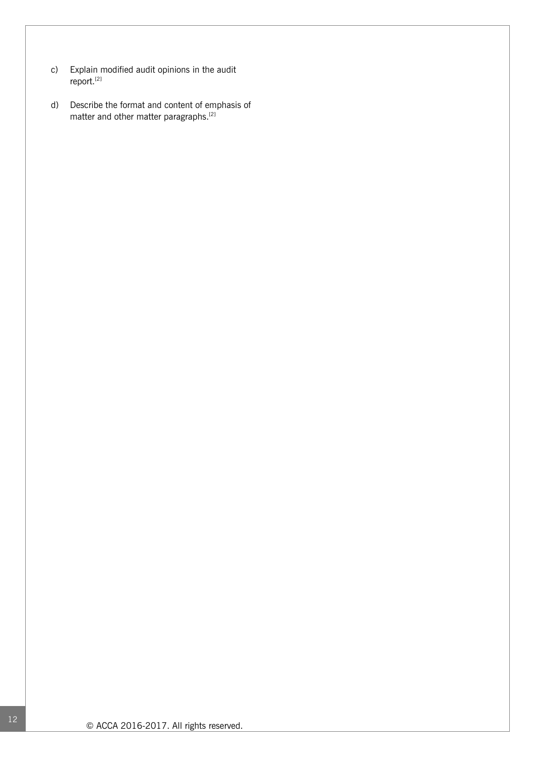- c) Explain modified audit opinions in the audit report.<sup>[2]</sup>
- d) Describe the format and content of emphasis of matter and other matter paragraphs.<sup>[2]</sup>